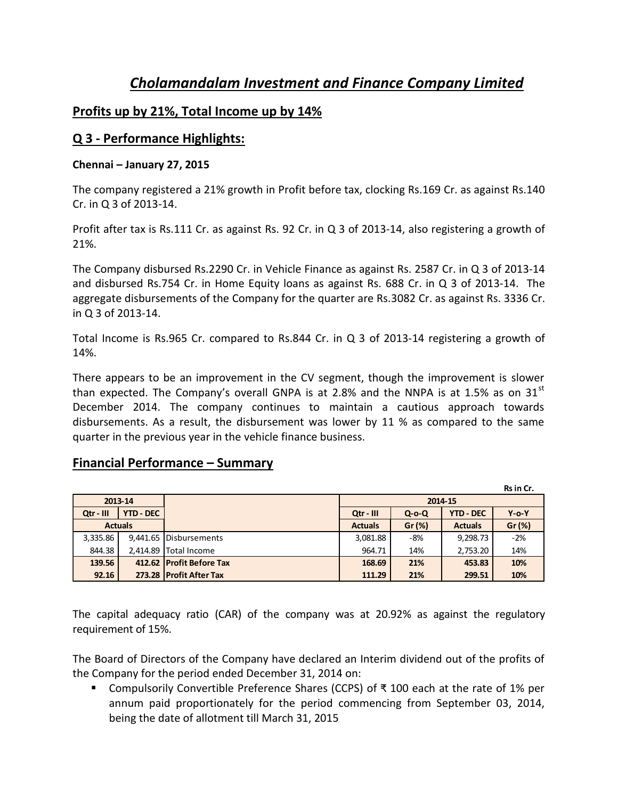# *Cholamandalam Investment and Finance Company Limited*

## **Profits up by 21%, Total Income up by 14%**

## **Q 3 - Performance Highlights:**

#### **Chennai – January 27, 2015**

The company registered a 21% growth in Profit before tax, clocking Rs.169 Cr. as against Rs.140 Cr. in Q 3 of 2013-14.

Profit after tax is Rs.111 Cr. as against Rs. 92 Cr. in Q 3 of 2013-14, also registering a growth of 21%.

The Company disbursed Rs.2290 Cr. in Vehicle Finance as against Rs. 2587 Cr. in Q 3 of 2013-14 and disbursed Rs.754 Cr. in Home Equity loans as against Rs. 688 Cr. in Q 3 of 2013-14. The aggregate disbursements of the Company for the quarter are Rs.3082 Cr. as against Rs. 3336 Cr. in Q 3 of 2013-14.

Total Income is Rs.965 Cr. compared to Rs.844 Cr. in Q 3 of 2013-14 registering a growth of 14%.

There appears to be an improvement in the CV segment, though the improvement is slower than expected. The Company's overall GNPA is at 2.8% and the NNPA is at 1.5% as on 31 $^{\rm st}$ December 2014. The company continues to maintain a cautious approach towards disbursements. As a result, the disbursement was lower by 11 % as compared to the same quarter in the previous year in the vehicle finance business.

## **Financial Performance – Summary**

**Rs in Cr. 2013-14 2014-15 Qtr - III YTD - DEC Qtr - III Q-o-Q YTD - DEC Y-o-Y Actuals Actuals Gr (%) Actuals Gr (%)** 3,335.86 9,441.65 Disbursements 3,081.88 -8% 9,298.73 -2% 844.38 **2,414.89** Total Income 1884.71 14% 2,753.20 14%  **139.56 412.62 Profit Before Tax 168.69 21% 453.83 10% 92.16 273.28 Profit After Tax 111.29 21% 299.51 10%**

The capital adequacy ratio (CAR) of the company was at 20.92% as against the regulatory requirement of 15%.

The Board of Directors of the Company have declared an Interim dividend out of the profits of the Company for the period ended December 31, 2014 on:

 Compulsorily Convertible Preference Shares (CCPS) of ₹ 100 each at the rate of 1% per annum paid proportionately for the period commencing from September 03, 2014, being the date of allotment till March 31, 2015